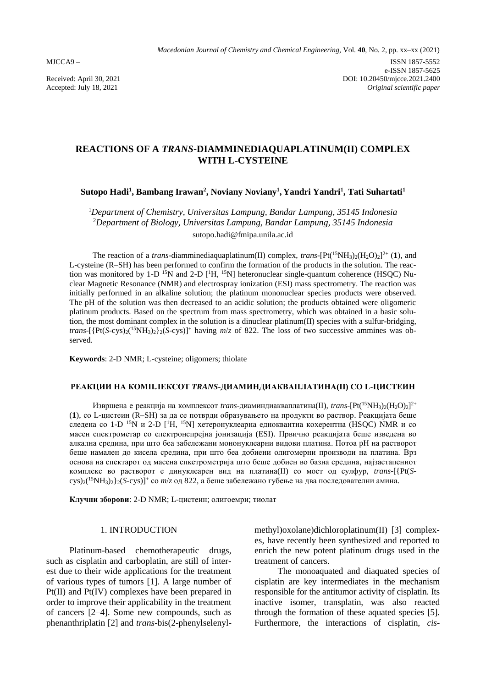# **REACTIONS OF A** *TRANS***-DIAMMINEDIAQUAPLATINUM(II) COMPLEX WITH L-CYSTEINE**

# **Sutopo Hadi<sup>1</sup> , Bambang Irawan<sup>2</sup> , Noviany Noviany<sup>1</sup> , Yandri Yandri<sup>1</sup> , Tati Suhartati<sup>1</sup>**

<sup>1</sup>*Department of Chemistry, Universitas Lampung, Bandar Lampung, 35145 Indonesia* <sup>2</sup>*Department of Biology, Universitas Lampung, Bandar Lampung, 35145 Indonesia* sutopo.hadi@fmipa.unila.ac.id

The reaction of a *trans*-diamminediaquaplatinum(II) complex, *trans*-[Pt(<sup>15</sup>NH<sub>3</sub>)<sub>2</sub>(H<sub>2</sub>O)<sub>2</sub>]<sup>2+</sup> (**1**), and L-cysteine (R–SH) has been performed to confirm the formation of the products in the solution. The reaction was monitored by 1-D <sup>15</sup>N and 2-D  $[$ <sup>1</sup>H, <sup>15</sup>N] heteronuclear single-quantum coherence (HSQC) Nuclear Magnetic Resonance (NMR) and electrospray ionization (ESI) mass spectrometry. The reaction was initially performed in an alkaline solution; the platinum mononuclear species products were observed. The pH of the solution was then decreased to an acidic solution; the products obtained were oligomeric platinum products. Based on the spectrum from mass spectrometry, which was obtained in a basic solution, the most dominant complex in the solution is a dinuclear platinum(II) species with a sulfur-bridging, *trans*-[{Pt(*S*-cys)2( <sup>15</sup>NH3)2}2(*S*-cys)]<sup>+</sup> having *m*/*z* of 822. The loss of two successive ammines was observed.

**Keywords**: 2-D NMR; L-cysteine; oligomers; thiolate

### **РЕАКЦИИ НА КОМПЛЕКСОТ** *TRANS***-ДИАМИНДИАКВАПЛАТИНА(II) СО L-ЦИСТЕИН**

Извршена е реакција на комплексот *trans*-диаминдиакваплатина(II), *trans*-[Pt(<sup>15</sup>NH<sub>3</sub>)<sub>2</sub>(H<sub>2</sub>O)<sub>2</sub>]<sup>2+</sup> (**1**), со L-цистеин (R–SH) за да се потврди образувањето на продукти во раствор. Реакцијата беше следена со 1-D <sup>15</sup>N и 2-D [<sup>1</sup>H, <sup>15</sup>N] хетеронуклеарна едноквантна кохерентна (HSQC) NMR и со масен спектрометар со електронспрејна јонизација (ESI). Првично реакцијата беше изведена во алкална средина, при што беа забележани мононуклеарни видови платина. Потоа pH на растворот беше намален до кисела средина, при што беа добиени олигомерни производи на платина. Врз основа на спектарот од масена спкетрометрија што беше добиен во базна средина, најзастапениот комплекс во растворот е динуклеарен вид на платина(II) со мост од сулфур, *trans*-[{Pt(*S*cys)2( <sup>15</sup>NH3)2}2(*S*-cys)]<sup>+</sup> со *m*/*z* од 822, а беше забележано губење на два последователни амина.

**Клучни зборови**: 2-D NMR; L-цистеин; олигоемри; тиолат

### 1. INTRODUCTION

Platinum-based chemotherapeutic drugs, such as cisplatin and carboplatin, are still of interest due to their wide applications for the treatment of various types of tumors [1]. A large number of Pt(II) and Pt(IV) complexes have been prepared in order to improve their applicability in the treatment of cancers [2–4]. Some new compounds, such as phenanthriplatin [2] and *trans*-bis(2-phenylselenylmethyl)oxolane)dichloroplatinum(II) [3] complexes, have recently been synthesized and reported to enrich the new potent platinum drugs used in the treatment of cancers.

The monoaquated and diaquated species of cisplatin are key intermediates in the mechanism responsible for the antitumor activity of cisplatin. Its inactive isomer, transplatin, was also reacted through the formation of these aquated species [5]. Furthermore, the interactions of cisplatin, *cis*-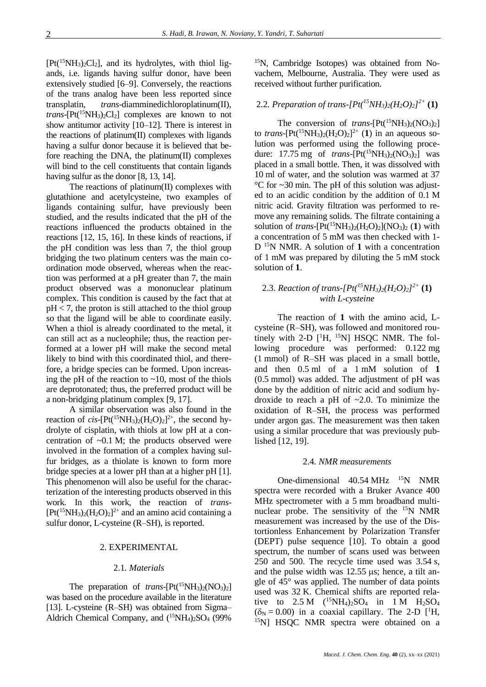$[Pt<sup>(15</sup>NH<sub>3</sub>)<sub>2</sub>Cl<sub>2</sub>]$ , and its hydrolytes, with thiol ligands, i.e. ligands having sulfur donor, have been extensively studied [6–9]. Conversely, the reactions of the trans analog have been less reported since transplatin, *trans*-diamminedichloroplatinum(II), *trans*- $[Pt(^{15}NH_3)_2Cl_2]$  complexes are known to not show antitumor activity [10–12]. There is interest in the reactions of platinum(II) complexes with ligands having a sulfur donor because it is believed that before reaching the DNA, the platinum(II) complexes will bind to the cell constituents that contain ligands having sulfur as the donor [8, 13, 14].

The reactions of platinum(II) complexes with glutathione and acetylcysteine, two examples of ligands containing sulfur, have previously been studied, and the results indicated that the pH of the reactions influenced the products obtained in the reactions [12, 15, 16]. In these kinds of reactions, if the pH condition was less than 7, the thiol group bridging the two platinum centers was the main coordination mode observed, whereas when the reaction was performed at a pH greater than 7, the main product observed was a mononuclear platinum complex. This condition is caused by the fact that at  $pH < 7$ , the proton is still attached to the thiol group so that the ligand will be able to coordinate easily. When a thiol is already coordinated to the metal, it can still act as a nucleophile; thus, the reaction performed at a lower pH will make the second metal likely to bind with this coordinated thiol, and therefore, a bridge species can be formed. Upon increasing the pH of the reaction to  $\sim$ 10, most of the thiols are deprotonated; thus, the preferred product will be a non-bridging platinum complex [9, 17].

A similar observation was also found in the reaction of *cis*-[Pt(<sup>15</sup>NH<sub>3</sub>)<sub>2</sub>(H<sub>2</sub>O)<sub>2</sub>]<sup>2+</sup>, the second hydrolyte of cisplatin, with thiols at low pH at a concentration of  $\sim 0.1$  M; the products observed were involved in the formation of a complex having sulfur bridges, as a thiolate is known to form more bridge species at a lower pH than at a higher pH [1]. This phenomenon will also be useful for the characterization of the interesting products observed in this work. In this work, the reaction of *trans*-  $[Pt<sup>(15</sup>NH<sub>3</sub>)<sub>2</sub>(H<sub>2</sub>O)<sub>2</sub>]<sup>2+</sup>$  and an amino acid containing a sulfur donor, L-cysteine (R–SH), is reported.

#### 2. EXPERIMENTAL

#### 2.1*. Materials*

The preparation of *trans*- $[Pt(^{15}NH_3)_2(NO_3)_2]$ was based on the procedure available in the literature [13]. L-cysteine (R–SH) was obtained from Sigma– Aldrich Chemical Company, and  $(^{15}NH_4)_2SO_4$  (99%)

15N, Cambridge Isotopes) was obtained from Novachem, Melbourne, Australia. They were used as received without further purification.

# 2.2*. Preparation of trans-[Pt(<sup>15</sup>NH3)2(H2O)2] 2+* **(1)**

The conversion of *trans*- $[Pt(^{15}NH_3)_2(NO_3)_2]$ to *trans*-[Pt(<sup>15</sup>NH<sub>3</sub>)<sub>2</sub>(H<sub>2</sub>O)<sub>2</sub>]<sup>2+</sup> (1) in an aqueous solution was performed using the following procedure:  $17.75 \text{ mg}$  of *trans*- $[Pt(^{15}NH_3)_2(NO_3)_2]$  was placed in a small bottle. Then, it was dissolved with 10 ml of water, and the solution was warmed at 37 °C for ~30 min. The pH of this solution was adjusted to an acidic condition by the addition of 0.1 M nitric acid. Gravity filtration was performed to remove any remaining solids. The filtrate containing a solution of *trans*- $[Pt(^{15}NH_3)_2(H_2O)_2](NO_3)_2$  (1) with a concentration of 5 mM was then checked with 1- D <sup>15</sup>N NMR. A solution of **1** with a concentration of 1 mM was prepared by diluting the 5 mM stock solution of **1**.

## 2.3. *Reaction of trans-[Pt(<sup>15</sup>NH3)2(H2O)2] 2+* **(1)** *with L-cysteine*

The reaction of **1** with the amino acid, Lcysteine (R–SH), was followed and monitored routinely with 2-D  $[$ <sup>1</sup>H, <sup>15</sup>N] HSQC NMR. The following procedure was performed: 0.122 mg (1 mmol) of R–SH was placed in a small bottle, and then 0.5 ml of a 1 mM solution of **1** (0.5 mmol) was added. The adjustment of pH was done by the addition of nitric acid and sodium hydroxide to reach a pH of ~2.0. To minimize the oxidation of R–SH, the process was performed under argon gas. The measurement was then taken using a similar procedure that was previously published [12, 19].

#### 2.4*. NMR measurements*

One-dimensional  $40.54 \text{ MHz}$  <sup>15</sup>N NMR spectra were recorded with a Bruker Avance 400 MHz spectrometer with a 5 mm broadband multinuclear probe. The sensitivity of the  $15N NMR$ measurement was increased by the use of the Distortionless Enhancement by Polarization Transfer (DEPT) pulse sequence [10]. To obtain a good spectrum, the number of scans used was between 250 and 500. The recycle time used was 3.54 s, and the pulse width was  $12.55 \,\mu s$ ; hence, a tilt angle of 45° was applied. The number of data points used was 32 K. Chemical shifts are reported relative to  $2.5 M$  (<sup>15</sup>NH<sub>4</sub>)<sub>2</sub>SO<sub>4</sub> in 1 M H<sub>2</sub>SO<sub>4</sub>  $(\delta_N = 0.00)$  in a coaxial capillary. The 2-D  $[$ <sup>1</sup>H, <sup>15</sup>N] HSQC NMR spectra were obtained on a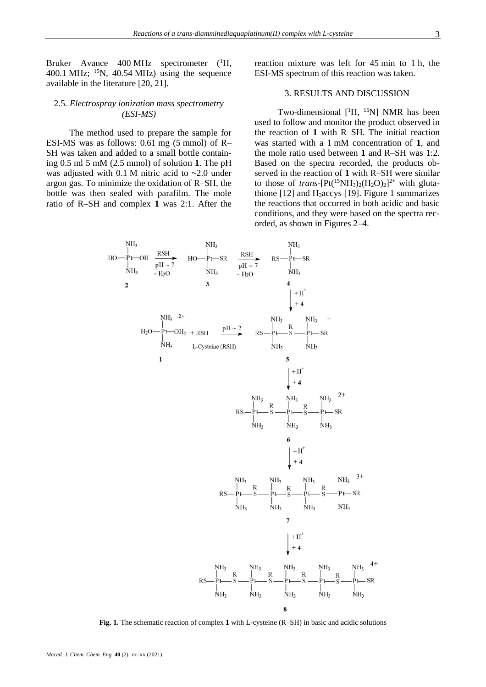Bruker Avance 400 MHz spectrometer (<sup>1</sup>H, 400.1 MHz;  $^{15}N$ , 40.54 MHz) using the sequence available in the literature [20, 21].

## 2.5*. Electrospray ionization mass spectrometry (ESI-MS)*

The method used to prepare the sample for ESI-MS was as follows: 0.61 mg (5 mmol) of R– SH was taken and added to a small bottle containing 0.5 ml 5 mM (2.5 mmol) of solution **1**. The pH was adjusted with  $0.1$  M nitric acid to  $\sim 2.0$  under argon gas. To minimize the oxidation of R–SH, the bottle was then sealed with parafilm. The mole ratio of R–SH and complex **1** was 2:1. After the

reaction mixture was left for 45 min to 1 h, the ESI-MS spectrum of this reaction was taken.

## 3. RESULTS AND DISCUSSION

Two-dimensional [<sup>1</sup>H, <sup>15</sup>N] NMR has been used to follow and monitor the product observed in the reaction of **1** with R–SH. The initial reaction was started with a 1 mM concentration of **1**, and the mole ratio used between **1** and R–SH was 1:2. Based on the spectra recorded, the products observed in the reaction of **1** with R–SH were similar to those of *trans*-[Pt(<sup>15</sup>NH<sub>3</sub>)<sub>2</sub>(H<sub>2</sub>O)<sub>2</sub>]<sup>2+</sup> with glutathione  $[12]$  and H<sub>3</sub>accys  $[19]$ . Figure 1 summarizes the reactions that occurred in both acidic and basic conditions, and they were based on the spectra recorded, as shown in Figures 2–4.



**Fig. 1.** The schematic reaction of complex **1** with L-cysteine (R–SH) in basic and acidic solutions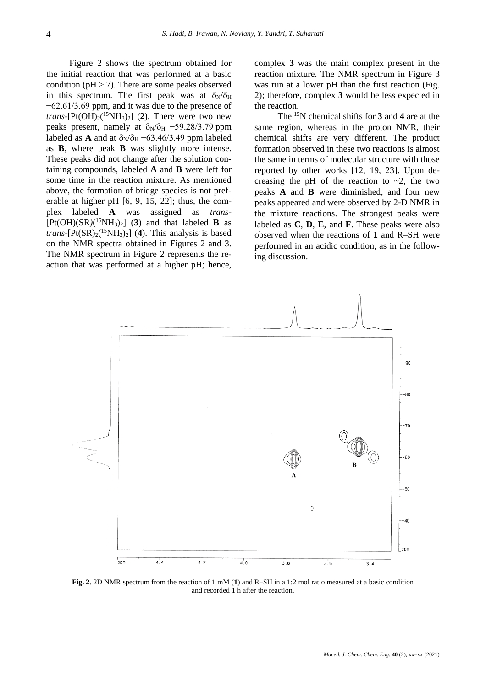Figure 2 shows the spectrum obtained for the initial reaction that was performed at a basic condition ( $pH > 7$ ). There are some peaks observed in this spectrum. The first peak was at  $\delta_N/\delta_H$ −62.61/3.69 ppm, and it was due to the presence of *trans*- $[Pt(OH)_2({}^{15}NH_3)_2]$  (2). There were two new peaks present, namely at  $\delta_N/\delta_H$  –59.28/3.79 ppm labeled as **A** and at  $\delta_N/\delta_H$  –63.46/3.49 ppm labeled as **B**, where peak **B** was slightly more intense. These peaks did not change after the solution containing compounds, labeled **A** and **B** were left for some time in the reaction mixture. As mentioned above, the formation of bridge species is not preferable at higher pH [6, 9, 15, 22]; thus, the complex labeled **A** was assigned as *trans*-  $[Pt(OH)(SR)(<sup>15</sup>NH<sub>3</sub>)<sub>2</sub>]$  (3) and that labeled **B** as *trans*-[ $Pt(SR)_{2}$ <sup>(15</sup>NH<sub>3</sub>)<sub>2</sub>] (4). This analysis is based on the NMR spectra obtained in Figures 2 and 3. The NMR spectrum in Figure 2 represents the reaction that was performed at a higher pH; hence,

complex **3** was the main complex present in the reaction mixture. The NMR spectrum in Figure 3 was run at a lower pH than the first reaction (Fig. 2); therefore, complex **3** would be less expected in the reaction.

The <sup>15</sup>N chemical shifts for **3** and **4** are at the same region, whereas in the proton NMR, their chemical shifts are very different. The product formation observed in these two reactions is almost the same in terms of molecular structure with those reported by other works [12, 19, 23]. Upon decreasing the pH of the reaction to  $\sim$ 2, the two peaks **A** and **B** were diminished, and four new peaks appeared and were observed by 2-D NMR in the mixture reactions. The strongest peaks were labeled as **C**, **D**, **E**, and **F**. These peaks were also observed when the reactions of **1** and R–SH were performed in an acidic condition, as in the following discussion.



**Fig. 2**. 2D NMR spectrum from the reaction of 1 mM (**1**) and R–SH in a 1:2 mol ratio measured at a basic condition and recorded 1 h after the reaction.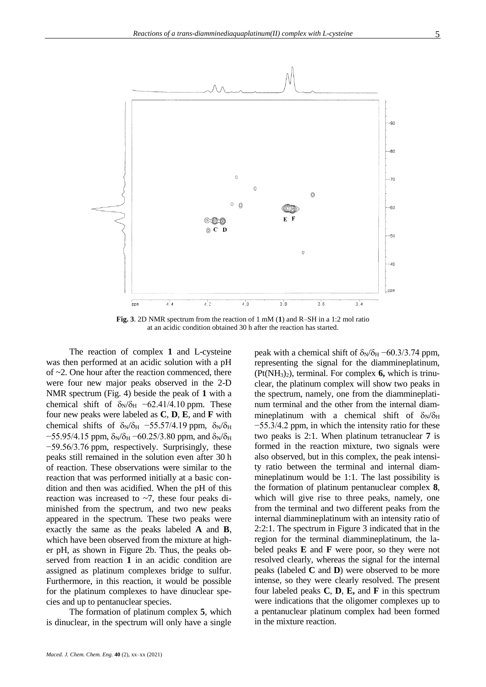

**Fig. 3**. 2D NMR spectrum from the reaction of 1 mM (**1**) and R–SH in a 1:2 mol ratio at an acidic condition obtained 30 h after the reaction has started.

The reaction of complex **1** and L-cysteine was then performed at an acidic solution with a pH of ~2. One hour after the reaction commenced, there were four new major peaks observed in the 2-D NMR spectrum (Fig. 4) beside the peak of **1** with a chemical shift of  $\delta_N/\delta_H$  –62.41/4.10 ppm. These four new peaks were labeled as **C**, **D**, **E**, and **F** with chemical shifts of  $\delta_N/\delta_H$  –55.57/4.19 ppm,  $\delta_N/\delta_H$  $-55.95/4.15$  ppm,  $\delta_N/\delta_H - 60.25/3.80$  ppm, and  $\delta_N/\delta_H$ −59.56/3.76 ppm, respectively. Surprisingly, these peaks still remained in the solution even after 30 h of reaction. These observations were similar to the reaction that was performed initially at a basic condition and then was acidified. When the pH of this reaction was increased to  $\sim$ 7, these four peaks diminished from the spectrum, and two new peaks appeared in the spectrum. These two peaks were exactly the same as the peaks labeled **A** and **B**, which have been observed from the mixture at higher pH, as shown in Figure 2b. Thus, the peaks observed from reaction **1** in an acidic condition are assigned as platinum complexes bridge to sulfur. Furthermore, in this reaction, it would be possible for the platinum complexes to have dinuclear species and up to pentanuclear species.

The formation of platinum complex **5**, which is dinuclear, in the spectrum will only have a single

*Maced. J. Chem. Chem. Eng.* **40** (2), xx–xx (2021)

peak with a chemical shift of  $\delta_N/\delta_H$  –60.3/3.74 ppm, representing the signal for the diammineplatinum, (Pt(NH3)2), terminal. For complex **6,** which is trinuclear, the platinum complex will show two peaks in the spectrum, namely, one from the diammineplatinum terminal and the other from the internal diammineplatinum with a chemical shift of  $\delta_{N}/\delta_{H}$ −55.3/4.2 ppm, in which the intensity ratio for these two peaks is 2:1. When platinum tetranuclear **7** is formed in the reaction mixture, two signals were also observed, but in this complex, the peak intensity ratio between the terminal and internal diammineplatinum would be 1:1. The last possibility is the formation of platinum pentanuclear complex **8**, which will give rise to three peaks, namely, one from the terminal and two different peaks from the internal diammineplatinum with an intensity ratio of 2:2:1. The spectrum in Figure 3 indicated that in the region for the terminal diammineplatinum, the labeled peaks **E** and **F** were poor, so they were not resolved clearly, whereas the signal for the internal peaks (labeled **C** and **D**) were observed to be more intense, so they were clearly resolved. The present four labeled peaks **C**, **D**, **E,** and **F** in this spectrum were indications that the oligomer complexes up to a pentanuclear platinum complex had been formed in the mixture reaction.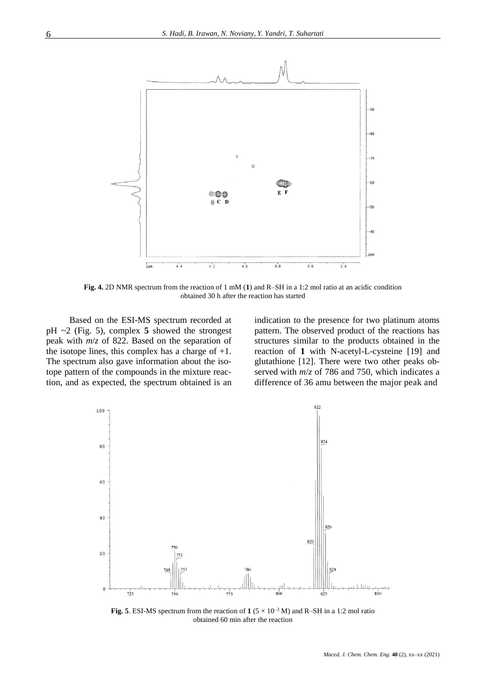

**Fig. 4.** 2D NMR spectrum from the reaction of 1 mM (**1**) and R–SH in a 1:2 mol ratio at an acidic condition obtained 30 h after the reaction has started

Based on the ESI-MS spectrum recorded at pH ~2 (Fig. 5), complex **5** showed the strongest peak with *m*/*z* of 822. Based on the separation of the isotope lines, this complex has a charge of  $+1$ . The spectrum also gave information about the isotope pattern of the compounds in the mixture reaction, and as expected, the spectrum obtained is an indication to the presence for two platinum atoms pattern. The observed product of the reactions has structures similar to the products obtained in the reaction of **1** with N-acetyl-L-cysteine [19] and glutathione [12]. There were two other peaks observed with *m*/*z* of 786 and 750, which indicates a difference of 36 amu between the major peak and



**Fig. 5**. ESI-MS spectrum from the reaction of  $1 (5 \times 10^{-3} \text{ M})$  and R-SH in a 1:2 mol ratio obtained 60 min after the reaction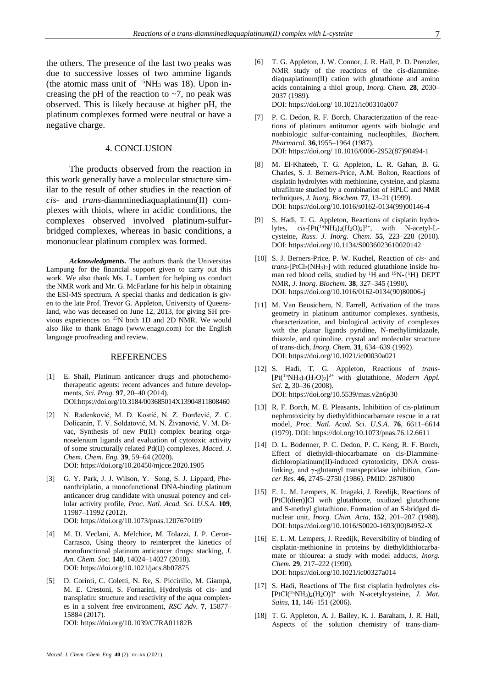the others. The presence of the last two peaks was due to successive losses of two ammine ligands (the atomic mass unit of  $15NH_3$  was 18). Upon increasing the pH of the reaction to  $\sim$ 7, no peak was observed. This is likely because at higher pH, the platinum complexes formed were neutral or have a negative charge.

### 4. CONCLUSION

The products observed from the reaction in this work generally have a molecular structure similar to the result of other studies in the reaction of *cis-* and *trans-*diamminediaquaplatinum(II) complexes with thiols, where in acidic conditions, the complexes observed involved platinum-sulfurbridged complexes, whereas in basic conditions, a mononuclear platinum complex was formed.

*Acknowledgments.* The authors thank the Universitas Lampung for the financial support given to carry out this work. We also thank Ms. L. Lambert for helping us conduct the NMR work and Mr. G. McFarlane for his help in obtaining the ESI-MS spectrum. A special thanks and dedication is given to the late Prof. Trevor G. Appleton, University of Queensland, who was deceased on June 12, 2013, for giving SH previous experiences on <sup>15</sup>N both 1D and 2D NMR. We would also like to thank Enago [\(www.enago.com\)](chrome-extension://flock.co/client_base/apps/conversation/www.enago.com) for the English language proofreading and review.

#### REFERENCES

- [1] E. Shail, Platinum anticancer drugs and photochemotherapeutic agents: recent advances and future developments, *Sci. Prog.* **97**, 20–40 (2014). DO[I:https://doi.org/10.3184/003685014X13904811808460](https://doi.org/10.3184/003685014X13904811808460)
- [2] N. Radenković, M. D. Kostić, N. Z. Đorđević, Z. C. Dolicanin, T. V. Soldatović, M. N. Živanović, V. M. Divac, Synthesis of new Pt(II) complex bearing organoselenium ligands and evaluation of cytotoxic activity of some structurally related Pd(II) complexes, *Maced. J. Chem. Chem. Eng.* **39**, 59–64 (2020). DOI[: https://doi.org/10.20450/mjcce.2020.1905](https://doi.org/10.20450/mjcce.2020.1905)
- [3] G. Y. Park, J. J. Wilson, Y. Song, S. J. Lippard, Phenanthriplatin, a monofunctional DNA-binding platinum anticancer drug candidate with unusual potency and cellular activity profile, *Proc. Natl. Acad. Sci. U.S.A.* **109**, 11987–11992 (2012). DOI[: https://doi.org/10.1073/pnas.1207670109](https://doi.org/10.1073/pnas.1207670109)
- [4] M. D. Veclani, A. Melchior, M. Tolazzi, J. P. Ceron-Carrasco, Using theory to reinterpret the kinetics of monofunctional platinum anticancer drugs: stacking, *J. Am. Chem. Soc.* **140**, 14024–14027 (2018). DOI[: https://doi.org/10.1021/jacs.8b07875](https://doi.org/10.1021/jacs.8b07875)
- [5] D. Corinti, C. Coletti, N. Re, S. Piccirillo, M. Giampà, M. E. Crestoni, S. Fornarini, Hydrolysis of cis- and transplatin: structure and reactivity of the aqua complexes in a solvent free environment, *RSC Adv.* **7**, 15877– 15884 (2017). DOI[: https://doi.org/10.1039/C7RA01182B](https://doi.org/10.1039/C7RA01182B)
- [6] T. G. Appleton, J. W. Connor, J. R. Hall, P. D. Prenzler, NMR study of the reactions of the cis-diamminediaquaplatinum(II) cation with glutathione and amino acids containing a thiol group, *Inorg. Chem.* **28**, 2030– 2037 (1989). DOI: https://doi.org/ 10.1021/ic00310a007
- [7] P. C. Dedon, R. F. Borch, Characterization of the reactions of platinum antitumor agents with biologic and nonbiologic sulfur-containing nucleophiles, *Biochem. Pharmacol.* **36**,1955–1964 (1987). DOI: https://doi.org/ 10.1016/0006-2952(87)90494-1
- [8] M. El-Khateeb, T. G. Appleton, L. R. Gahan, B. G. Charles, S. J. Berners-Price, A.M. Bolton, Reactions of cisplatin hydrolytes with methionine, cysteine, and plasma ultrafiltrate studied by a combination of HPLC and NMR techniques, *J. Inorg. Biochem.* **77**, 13–21 (1999). DOI[: https://doi.org/10.1016/s0162-0134\(99\)00146-4](https://doi.org/10.1016/s0162-0134(99)00146-4)
- [9] S. Hadi, T. G. Appleton, Reactions of cisplatin hydrolytes,  $cis$ -[Pt(<sup>15</sup>NH<sub>3</sub>)<sub>2</sub>(H<sub>2</sub>O)<sub>2</sub>]<sup>2+</sup>, with N-acetyl-Lcysteine, *Russ. J. Inorg. Chem.* **55**, 223–228 (2010). DOI[: https://doi.org/10.1134/S0036023610020142](https://doi.org/10.1134/S0036023610020142)
- [10] S. J. Berners-Price, P. W. Kuchel, Reaction of *cis* and *trans*-[PtCl2(NH3)2] with reduced glutathione inside human red blood cells, studied by  ${}^{1}H$  and  ${}^{15}N$ - $\{ {}^{1}H \}$  DEPT NMR, *J. Inorg. Biochem.* **38**, 327–345 (1990). DOI[: https://doi.org/10.1016/0162-0134\(90\)80006-j](https://doi.org/10.1016/0162-0134(90)80006-j)
- [11] M. Van Beusichem, N. Farrell, Activation of the trans geometry in platinum antitumor complexes. synthesis, characterization, and biological activity of complexes with the planar ligands pyridine, N-methylimidazole, thiazole, and quinoline. crystal and molecular structure of trans-dich, *Inorg. Chem.* **31**, 634–639 (1992). DOI[: https://doi.org/10.1021/ic00030a021](https://doi.org/10.1021/ic00030a021)
- [12] S. Hadi, T. G. Appleton, Reactions of *trans* [Pt(<sup>15</sup>NH3)2(H2O)2] 2+ with glutathione, *Modern Appl. Sci.* **2,** 30–36 (2008). DOI[: https://doi.org/10.5539/mas.v2n6p30](https://doi.org/10.5539/mas.v2n6p30)
- [13] R. F. Borch, M. E. Pleasants, Inhibition of cis-platinum nephrotoxicity by diethyldithiocarbamate rescue in a rat model, *Proc. Natl. Acad. Sci. U.S.A.* **76**, 6611–6614 (1979). DOI:<https://doi.org/10.1073/pnas.76.12.6611>
- [14] D. L. Bodenner, P. C. Dedon, P. C. Keng, R. F. Borch, Effect of diethyldi-thiocarbamate on cis-Diamminedichloroplatinum(II)-induced cytotoxicity, DNA crosslinking, and γ-glutamyl transpeptidase inhibition, *Cancer Res.* **46**, 2745–2750 (1986). PMID: 2870800
- [15] E. L. M. Lempers, K. Inagaki, J. Reedijk, Reactions of [PtCl(dien)]Cl with glutathione, oxidized glutathione and S-methyl glutathione. Formation of an S-bridged dinuclear unit, *Inorg. Chim. Acta*, **152**, 201–207 (1988). DOI[: https://doi.org/10.1016/S0020-1693\(00\)84952-X](https://doi.org/10.1016/S0020-1693(00)84952-X)
- [16] E. L. M. Lempers, J. Reedijk, Reversibility of binding of cisplatin-methionine in proteins by diethyldithiocarbamate or thiourea: a study with model adducts, *Inorg. Chem.* **29**, 217–222 (1990). DOI[: https://doi.org/10.1021/ic00327a014](https://doi.org/10.1021/ic00327a014)
- [17] S. Hadi, Reactions of The first cisplatin hydrolytes *cis* [PtCl(<sup>15</sup>NH3)2(H2O)]<sup>+</sup> with N-acetylcysteine, *J. Mat. Sains*, **11**, 146–151 (2006).
- [18] T. G. Appleton, A. J. Bailey, K. J. Baraham, J. R. Hall, Aspects of the solution chemistry of trans-diam-